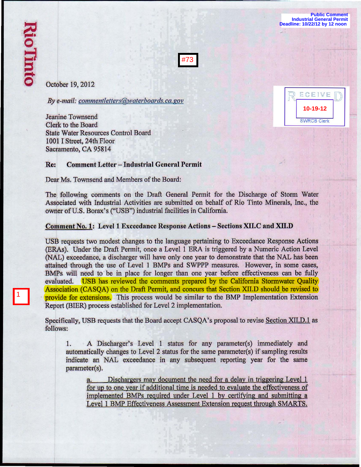1

**Public Comment Industrial General Permit Deadline: 10/22/12 by 12 noon** 

**10-19-12**

**SWRCB Clerk** 

ECEIVE



October 19, 2012

*By e-mail: commentletters@waterboards.ca.gov* 

Jeanine Townsend Clerk to the Board State Water Resources Control Board 1001 I Street, 24th Floor Sacramento, CA 95814

# Re: Comment Letter - Industrial General Permit

Dear Ms. Townsend and Members of the Board:

The following comments on the Draft General Permit for the Discharge of Storm Water Associated with Industrial Activities are submitted on behalf of Rio Tinto Minerals, Inc., the owner of U.S. Borax's ("USB") industrial facilities in California.

# Comment No.1: Levell Exccedance Response Actions - Sections XII.C and XII.D

USB requests two modest changes to the language pertaining to Exceedance Response Actions (ERAs). Under the Draft Permit, once a Level 1 ERA is triggered by a Numeric Action Level (NAL) exceedance, a discharger will have only one year to demonstrate that the NAL has been attained through the use of Level 1 BMPs and SWPPP measures. However, in some cases, BMPs will need to be in place for longer than one year before effectiveness can be fully evaluated. USB has reviewed the comments prepared by the California Stormwater Quality Association (CASQA) on the Draft Permit, and concurs that Section XILD should be revised to provide for extensions. This process would be similar to the BMP Implementation Extension Report (BIER) process established for Level 2 implementation.

Specifically, USB requests that the Board accept CASQA's proposal to revise Section XII.D.1 as follows:

1. A Discharger's Level I status for any parameter(s) immediately and automatically changes to Level 2 status for the same parameter(s) if sampling results indicate an NAL exceedance in any subsequent reporting year for the same parameter(s).

a. Dischargers may document the need for a delay in triggering Level 1 for up to one year if additional time is needed to evaluate the effectiveness of implemented BMPs required under Level I by certifying and submitting a Level 1 BMP Effectiveness Assessment Extension request through SMARTS.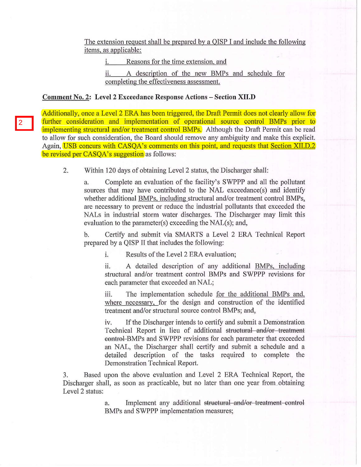The extension request shall be prepared by a QISP I and include the following items, as applicable:

i. Reasons for the time extension, and

ii. A description of the new BMPs and schedule for completing the effectiveness assessment.

#### Comment No, 2: Level 2 Excccdance Response Actions - Section **XII.D**

2

Additionally, once a Level 2 ERA has been triggered, the Draft Permit does not clearly allow for further consideration and implementation of operational source control BMPs prior to implementing structural and/or treatment control BMPs. Although the Draft Permit can be read to allow for such consideration, the Board should remove any ambiguity and make this explicit. Again, USB concurs with CASQA's comments on this point, and requests that Section XII.D.2 be revised per CASQA's suggestion as follows:

2. Within 120 days of obtaining Level 2 status, the Discharger shall:

a. Complete an evaluation of the facility's SWPPP and all the pollutant sources that may have contributed to the NAL exceedance(s) and identify whether additional BMPs, including structural and/or treatment control BMPs, are necessary to prevent or reduce the industrial pollutants that exceeded the NALs in industrial storm water discharges. The Discharger may limit this evaluation to the parameter(s) exceeding the NAL(s); and,

b. Certify and submit via SMARTS a Level 2 ERA Technical Report prepared by a QISP II that includes the following:

i. Results of the Level 2 ERA evaluation;

ii. A detailed description of any additional BMPs, including structural and/or treatment control BMPs and SWPPP revisions for each parameter that exceeded an NAL;

iii. The implementation schedule for the additional BMPs and, where necessary, for the design and construction of the identified treatment and/or structural source control BMPs; and,

iv. If the Discharger intends to certify and submit a Demonstration Technical Report in lieu of additional structural and/or treatment eontrol-BMPs and SWPPP revisions for each parameter that exceeded an NAL, the Discharger shall certify and submit a schedule and a detailed description of the tasks required to complete the Demonstration Technical Report.

3. Based upon the above evaluation and Level 2 ERA Technical Report, the Discharger shall, as soon as practicable, but no later than one year from obtaining Level 2 status:

> a. Implement any additional structural and/or treatment control BMPs and SWPPP implementation measures;